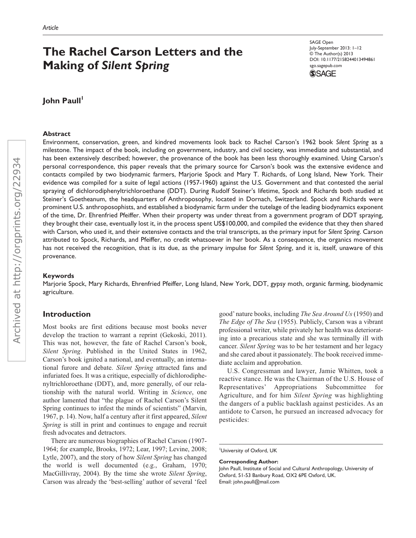# **The Rachel Carson Letters and the Making of** *Silent Spring*

SAGE Open July-September 2013: 1–12 © The Author(s) 2013 DOI: 10.1177/2158244013494861 sgo.sagepub.com



# **John Paull**

### **Abstract**

Environment, conservation, green, and kindred movements look back to Rachel Carson's 1962 book *Silent Spring* as a milestone. The impact of the book, including on government, industry, and civil society, was immediate and substantial, and has been extensively described; however, the provenance of the book has been less thoroughly examined. Using Carson's personal correspondence, this paper reveals that the primary source for Carson's book was the extensive evidence and contacts compiled by two biodynamic farmers, Marjorie Spock and Mary T. Richards, of Long Island, New York. Their evidence was compiled for a suite of legal actions (1957-1960) against the U.S. Government and that contested the aerial spraying of dichlorodiphenyltrichloroethane (DDT). During Rudolf Steiner's lifetime, Spock and Richards both studied at Steiner's Goetheanum, the headquarters of Anthroposophy, located in Dornach, Switzerland. Spock and Richards were prominent U.S. anthroposophists, and established a biodynamic farm under the tutelage of the leading biodynamics exponent of the time, Dr. Ehrenfried Pfeiffer. When their property was under threat from a government program of DDT spraying, they brought their case, eventually lost it, in the process spent US\$100,000, and compiled the evidence that they then shared with Carson, who used it, and their extensive contacts and the trial transcripts, as the primary input for *Silent Spring*. Carson attributed to Spock, Richards, and Pfeiffer, no credit whatsoever in her book. As a consequence, the organics movement has not received the recognition, that is its due, as the primary impulse for *Silent Spring*, and it is, itself, unaware of this provenance.

### **Keywords**

Marjorie Spock, Mary Richards, Ehrenfried Pfeiffer, Long Island, New York, DDT, gypsy moth, organic farming, biodynamic agriculture.

### **Introduction**

Most books are first editions because most books never develop the traction to warrant a reprint (Gekoski, 2011). This was not, however, the fate of Rachel Carson's book, *Silent Spring*. Published in the United States in 1962, Carson's book ignited a national, and eventually, an international furore and debate. *Silent Spring* attracted fans and infuriated foes. It was a critique, especially of dichlorodiphenyltrichloroethane (DDT), and, more generally, of our relationship with the natural world. Writing in *Science*, one author lamented that "the plague of Rachel Carson's Silent Spring continues to infest the minds of scientists" (Marvin, 1967, p. 14). Now, half a century after it first appeared, *Silent Spring* is still in print and continues to engage and recruit fresh advocates and detractors.

There are numerous biographies of Rachel Carson (1907- 1964; for example, Brooks, 1972; Lear, 1997; Levine, 2008; Lytle, 2007), and the story of how *Silent Spring* has changed the world is well documented (e.g., Graham, 1970; MacGillivray, 2004). By the time she wrote *Silent Spring*, Carson was already the 'best-selling' author of several 'feel good' nature books, including *The Sea Around Us* (1950) and *The Edge of The Sea* (1955). Publicly, Carson was a vibrant professional writer, while privately her health was deteriorating into a precarious state and she was terminally ill with cancer. *Silent Spring* was to be her testament and her legacy and she cared about it passionately. The book received immediate acclaim and approbation.

U.S. Congressman and lawyer, Jamie Whitten, took a reactive stance. He was the Chairman of the U.S. House of Representatives' Appropriations Subcommittee Agriculture, and for him *Silent Spring* was highlighting the dangers of a public backlash against pesticides. As an antidote to Carson, he pursued an increased advocacy for pesticides:

#### **Corresponding Author:**

John Paull, Institute of Social and Cultural Anthropology, University of Oxford, 51-53 Banbury Road, OX2 6PE Oxford, UK. Email: john.paull@mail.com

University of Oxford, UK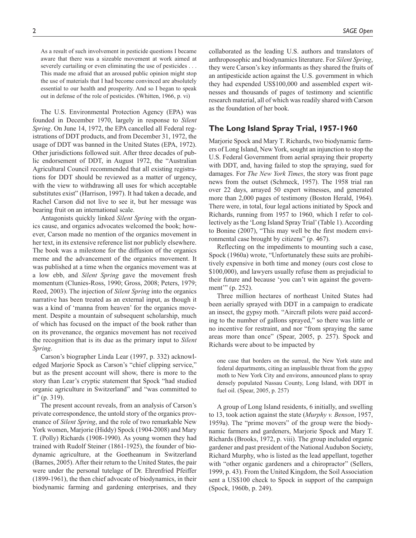As a result of such involvement in pesticide questions I became aware that there was a sizeable movement at work aimed at severely curtailing or even eliminating the use of pesticides . . . This made me afraid that an aroused public opinion might stop the use of materials that I had become convinced are absolutely essential to our health and prosperity. And so I began to speak out in defense of the role of pesticides. (Whitten, 1966, p. vi)

The U.S. Environmental Protection Agency (EPA) was founded in December 1970, largely in response to *Silent Spring*. On June 14, 1972, the EPA cancelled all Federal registrations of DDT products, and from December 31, 1972, the usage of DDT was banned in the United States (EPA, 1972). Other jurisdictions followed suit. After three decades of public endorsement of DDT, in August 1972, the "Australian Agricultural Council recommended that all existing registrations for DDT should be reviewed as a matter of urgency, with the view to withdrawing all uses for which acceptable substitutes exist" (Harrison, 1997). It had taken a decade, and Rachel Carson did not live to see it, but her message was bearing fruit on an international scale.

Antagonists quickly linked *Silent Spring* with the organics cause, and organics advocates welcomed the book; however, Carson made no mention of the organics movement in her text, in its extensive reference list nor publicly elsewhere. The book was a milestone for the diffusion of the organics meme and the advancement of the organics movement. It was published at a time when the organics movement was at a low ebb, and *Silent Spring* gave the movement fresh momentum (Clunies-Ross, 1990; Gross, 2008; Peters, 1979; Reed, 2003). The injection of *Silent Spring* into the organics narrative has been treated as an external input, as though it was a kind of 'manna from heaven' for the organics movement. Despite a mountain of subsequent scholarship, much of which has focused on the impact of the book rather than on its provenance, the organics movement has not received the recognition that is its due as the primary input to *Silent Spring*.

Carson's biographer Linda Lear (1997, p. 332) acknowledged Marjorie Spock as Carson's "chief clipping service," but as the present account will show, there is more to the story than Lear's cryptic statement that Spock "had studied organic agriculture in Switzerland" and "was committed to it"  $(p. 319)$ .

The present account reveals, from an analysis of Carson's private correspondence, the untold story of the organics provenance of *Silent Spring*, and the role of two remarkable New York women, Marjorie (Hiddy) Spock (1904-2008) and Mary T. (Polly) Richards (1908-1990). As young women they had trained with Rudolf Steiner (1861-1925), the founder of biodynamic agriculture, at the Goetheanum in Switzerland (Barnes, 2005). After their return to the United States, the pair were under the personal tutelage of Dr. Ehrenfried Pfeiffer (1899-1961), the then chief advocate of biodynamics, in their biodynamic farming and gardening enterprises, and they

collaborated as the leading U.S. authors and translators of anthroposophic and biodynamics literature. For *Silent Spring*, they were Carson's key informants as they shared the fruits of an antipesticide action against the U.S. government in which they had expended US\$100,000 and assembled expert witnesses and thousands of pages of testimony and scientific research material, all of which was readily shared with Carson as the foundation of her book.

## **The Long Island Spray Trial, 1957-1960**

Marjorie Spock and Mary T. Richards, two biodynamic farmers of Long Island, New York, sought an injunction to stop the U.S. Federal Government from aerial spraying their property with DDT, and, having failed to stop the spraying, sued for damages. For *The New York Times*, the story was front page news from the outset (Schmeck, 1957). The 1958 trial ran over 22 days, arrayed 50 expert witnesses, and generated more than 2,000 pages of testimony (Boston Herald, 1964). There were, in total, four legal actions initiated by Spock and Richards, running from 1957 to 1960, which I refer to collectively as the 'Long Island Spray Trial' (Table 1). According to Bonine (2007), "This may well be the first modern environmental case brought by citizens" (p. 467).

Reflecting on the impediments to mounting such a case, Spock (1960a) wrote, "Unfortunately these suits are prohibitively expensive in both time and money (ours cost close to \$100,000), and lawyers usually refuse them as prejudicial to their future and because 'you can't win against the government'" (p. 252).

Three million hectares of northeast United States had been aerially sprayed with DDT in a campaign to eradicate an insect, the gypsy moth. "Aircraft pilots were paid according to the number of gallons sprayed," so there was little or no incentive for restraint, and nor "from spraying the same areas more than once" (Spear, 2005, p. 257). Spock and Richards were about to be impacted by

one case that borders on the surreal, the New York state and federal departments, citing an implausible threat from the gypsy moth to New York City and environs, announced plans to spray densely populated Nassau County, Long Island, with DDT in fuel oil. (Spear, 2005, p. 257)

A group of Long Island residents, 6 initially, and swelling to 13, took action against the state (*Murphy v. Benson*, 1957, 1959a). The "prime movers" of the group were the biodynamic farmers and gardeners, Marjorie Spock and Mary T. Richards (Brooks, 1972, p. viii). The group included organic gardener and past president of the National Audubon Society, Richard Murphy, who is listed as the lead appellant, together with "other organic gardeners and a chiropractor" (Sellers, 1999, p. 43). From the United Kingdom, the Soil Association sent a US\$100 check to Spock in support of the campaign (Spock, 1960b, p. 249).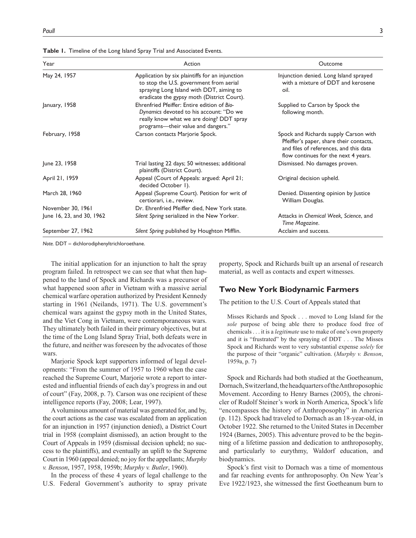| Year                      | Action                                                                                                                                                                               | Outcome                                                                                                                                                            |
|---------------------------|--------------------------------------------------------------------------------------------------------------------------------------------------------------------------------------|--------------------------------------------------------------------------------------------------------------------------------------------------------------------|
| May 24, 1957              | Application by six plaintiffs for an injunction<br>to stop the U.S. government from aerial<br>spraying Long Island with DDT, aiming to<br>eradicate the gypsy moth (District Court). | Injunction denied. Long Island sprayed<br>with a mixture of DDT and kerosene<br>oil.                                                                               |
| January, 1958             | Ehrenfried Pfeiffer: Entire edition of Bio-<br>Dynamics devoted to his account: "Do we<br>really know what we are doing? DDT spray<br>programs-their value and dangers."             | Supplied to Carson by Spock the<br>following month.                                                                                                                |
| February, 1958            | Carson contacts Marjorie Spock.                                                                                                                                                      | Spock and Richards supply Carson with<br>Pfeiffer's paper, share their contacts,<br>and files of references, and this data<br>flow continues for the next 4 years. |
| June 23, 1958             | Trial lasting 22 days; 50 witnesses; additional<br>plaintiffs (District Court).                                                                                                      | Dismissed. No damages proven.                                                                                                                                      |
| April 21, 1959            | Appeal (Court of Appeals: argued: April 21;<br>decided October 1).                                                                                                                   | Original decision upheld.                                                                                                                                          |
| March 28, 1960            | Appeal (Supreme Court). Petition for writ of<br>certiorari, i.e., review.                                                                                                            | Denied. Dissenting opinion by Justice<br>William Douglas.                                                                                                          |
| November 30, 1961         | Dr. Ehrenfried Pfeiffer died, New York state.                                                                                                                                        |                                                                                                                                                                    |
| June 16, 23, and 30, 1962 | Silent Spring serialized in the New Yorker.                                                                                                                                          | Attacks in Chemical Week, Science, and<br>Time Magazine.                                                                                                           |
| September 27, 1962        | Silent Spring published by Houghton Mifflin.                                                                                                                                         | Acclaim and success.                                                                                                                                               |

**Table 1.** Timeline of the Long Island Spray Trial and Associated Events.

*Note.* DDT = dichlorodiphenyltrichloroethane.

The initial application for an injunction to halt the spray program failed. In retrospect we can see that what then happened to the land of Spock and Richards was a precursor of what happened soon after in Vietnam with a massive aerial chemical warfare operation authorized by President Kennedy starting in 1961 (Neilands, 1971). The U.S. government's chemical wars against the gypsy moth in the United States, and the Viet Cong in Vietnam, were contemporaneous wars. They ultimately both failed in their primary objectives, but at the time of the Long Island Spray Trial, both defeats were in the future, and neither was foreseen by the advocates of those wars.

Marjorie Spock kept supporters informed of legal developments: "From the summer of 1957 to 1960 when the case reached the Supreme Court, Marjorie wrote a report to interested and influential friends of each day's progress in and out of court" (Fay, 2008, p. 7). Carson was one recipient of these intelligence reports (Fay, 2008; Lear, 1997).

A voluminous amount of material was generated for, and by, the court actions as the case was escalated from an application for an injunction in 1957 (injunction denied), a District Court trial in 1958 (complaint dismissed), an action brought to the Court of Appeals in 1959 (dismissal decision upheld; no success to the plaintiffs), and eventually an uplift to the Supreme Court in 1960 (appeal denied; no joy for the appellants; *Murphy v. Benson*, 1957, 1958, 1959b; *Murphy v. Butler*, 1960).

In the process of these 4 years of legal challenge to the U.S. Federal Government's authority to spray private

property, Spock and Richards built up an arsenal of research material, as well as contacts and expert witnesses.

# **Two New York Biodynamic Farmers**

The petition to the U.S. Court of Appeals stated that

Misses Richards and Spock . . . moved to Long Island for the *sole* purpose of being able there to produce food free of chemicals . . . it is a *legitimate* use to make of one's own property and it is "frustrated" by the spraying of DDT . . . The Misses Spock and Richards went to very substantial expense *solely* for the purpose of their "organic" cultivation. (*Murphy v. Benson*, 1959a, p. 7)

Spock and Richards had both studied at the Goetheanum, Dornach, Switzerland, the headquarters of the Anthroposophic Movement. According to Henry Barnes (2005), the chronicler of Rudolf Steiner's work in North America, Spock's life "encompasses the history of Anthroposophy" in America (p. 112). Spock had traveled to Dornach as an 18-year-old, in October 1922. She returned to the United States in December 1924 (Barnes, 2005). This adventure proved to be the beginning of a lifetime passion and dedication to anthroposophy, and particularly to eurythmy, Waldorf education, and biodynamics.

Spock's first visit to Dornach was a time of momentous and far reaching events for anthroposophy. On New Year's Eve 1922/1923, she witnessed the first Goetheanum burn to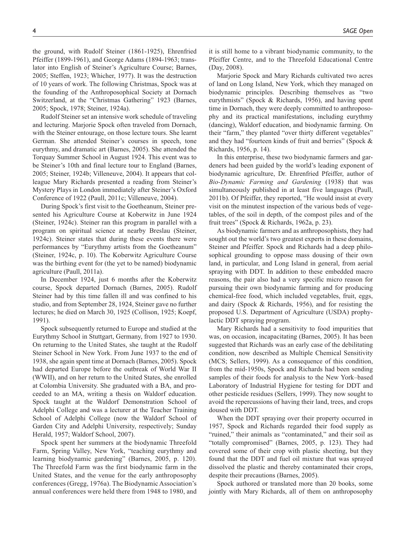the ground, with Rudolf Steiner (1861-1925), Ehrenfried Pfeiffer (1899-1961), and George Adams (1894-1963; translator into English of Steiner's Agriculture Course; Barnes, 2005; Steffen, 1923; Whicher, 1977). It was the destruction of 10 years of work. The following Christmas, Spock was at the founding of the Anthroposophical Society at Dornach Switzerland, at the "Christmas Gathering" 1923 (Barnes, 2005; Spock, 1978; Steiner, 1924a).

Rudolf Steiner set an intensive work schedule of traveling and lecturing. Marjorie Spock often traveled from Dornach, with the Steiner entourage, on those lecture tours. She learnt German. She attended Steiner's courses in speech, tone eurythmy, and dramatic art (Barnes, 2005). She attended the Torquay Summer School in August 1924. This event was to be Steiner's 10th and final lecture tour to England (Barnes, 2005; Steiner, 1924b; Villeneuve, 2004). It appears that colleague Mary Richards presented a reading from Steiner's Mystery Plays in London immediately after Steiner's Oxford Conference of 1922 (Paull, 2011c; Villeneuve, 2004).

During Spock's first visit to the Goetheanum, Steiner presented his Agriculture Course at Koberwitz in June 1924 (Steiner, 1924c). Steiner ran this program in parallel with a program on spiritual science at nearby Breslau (Steiner, 1924c). Steiner states that during these events there were performances by "Eurythmy artists from the Goetheanum" (Steiner, 1924c, p. 10). The Koberwitz Agriculture Course was the birthing event for (the yet to be named) biodynamic agriculture (Paull, 2011a).

In December 1924, just 6 months after the Koberwitz course, Spock departed Dornach (Barnes, 2005). Rudolf Steiner had by this time fallen ill and was confined to his studio, and from September 28, 1924, Steiner gave no further lectures; he died on March 30, 1925 (Collison, 1925; Koepf, 1991).

Spock subsequently returned to Europe and studied at the Eurythmy School in Stuttgart, Germany, from 1927 to 1930. On returning to the United States, she taught at the Rudolf Steiner School in New York. From June 1937 to the end of 1938, she again spent time at Dornach (Barnes, 2005). Spock had departed Europe before the outbreak of World War II (WWII), and on her return to the United States, she enrolled at Colombia University. She graduated with a BA, and proceeded to an MA, writing a thesis on Waldorf education. Spock taught at the Waldorf Demonstration School of Adelphi College and was a lecturer at the Teacher Training School of Adelphi College (now the Waldorf School of Garden City and Adelphi University, respectively; Sunday Herald, 1957; Waldorf School, 2007).

Spock spent her summers at the biodynamic Threefold Farm, Spring Valley, New York, "teaching eurythmy and learning biodynamic gardening" (Barnes, 2005, p. 120). The Threefold Farm was the first biodynamic farm in the United States, and the venue for the early anthroposophy conferences (Gregg, 1976a). The Biodynamic Association's annual conferences were held there from 1948 to 1980, and

it is still home to a vibrant biodynamic community, to the Pfeiffer Centre, and to the Threefold Educational Centre (Day, 2008).

Marjorie Spock and Mary Richards cultivated two acres of land on Long Island, New York, which they managed on biodynamic principles. Describing themselves as "two eurythmists" (Spock & Richards, 1956), and having spent time in Dornach, they were deeply committed to anthroposophy and its practical manifestations, including eurythmy (dancing), Waldorf education, and biodynamic farming. On their "farm," they planted "over thirty different vegetables" and they had "fourteen kinds of fruit and berries" (Spock & Richards, 1956, p. 14).

In this enterprise, these two biodynamic farmers and gardeners had been guided by the world's leading exponent of biodynamic agriculture, Dr. Ehrenfried Pfeiffer, author of *Bio-Dynamic Farming and Gardening* (1938) that was simultaneously published in at least five languages (Paull, 2011b). Of Pfeiffer, they reported, "He would insist at every visit on the minutest inspection of the various beds of vegetables, of the soil in depth, of the compost piles and of the fruit trees" (Spock & Richards, 1962a, p. 23).

As biodynamic farmers and as anthroposophists, they had sought out the world's two greatest experts in these domains, Steiner and Pfeiffer. Spock and Richards had a deep philosophical grounding to oppose mass dousing of their own land, in particular, and Long Island in general, from aerial spraying with DDT. In addition to these embedded macro reasons, the pair also had a very specific micro reason for pursuing their own biodynamic farming and for producing chemical-free food, which included vegetables, fruit, eggs, and dairy (Spock & Richards, 1956), and for resisting the proposed U.S. Department of Agriculture (USDA) prophylactic DDT spraying program.

Mary Richards had a sensitivity to food impurities that was, on occasion, incapacitating (Barnes, 2005). It has been suggested that Richards was an early case of the debilitating condition, now described as Multiple Chemical Sensitivity (MCS; Sellers, 1999). As a consequence of this condition, from the mid-1950s, Spock and Richards had been sending samples of their foods for analysis to the New York–based Laboratory of Industrial Hygiene for testing for DDT and other pesticide residues (Sellers, 1999). They now sought to avoid the repercussions of having their land, trees, and crops doused with DDT.

When the DDT spraying over their property occurred in 1957, Spock and Richards regarded their food supply as "ruined," their animals as "contaminated," and their soil as "totally compromised" (Barnes, 2005, p. 123). They had covered some of their crop with plastic sheeting, but they found that the DDT and fuel oil mixture that was sprayed dissolved the plastic and thereby contaminated their crops, despite their precautions (Barnes, 2005).

Spock authored or translated more than 20 books, some jointly with Mary Richards, all of them on anthroposophy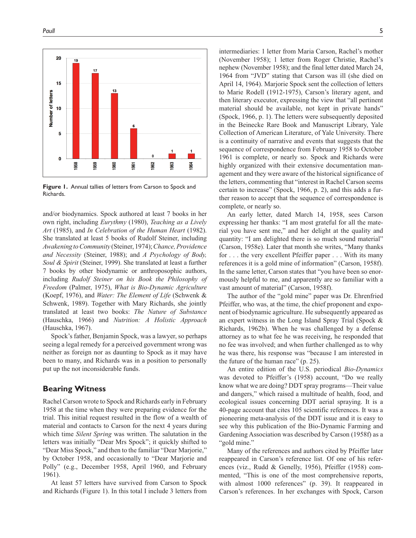

**Figure 1.** Annual tallies of letters from Carson to Spock and Richards.

and/or biodynamics. Spock authored at least 7 books in her own right, including *Eurythmy* (1980), *Teaching as a Lively Art* (1985), and *In Celebration of the Human Heart* (1982). She translated at least 5 books of Rudolf Steiner, including *Awakening to Community* (Steiner, 1974); *Chance, Providence and Necessity* (Steiner, 1988); and *A Psychology of Body, Soul & Spirit* (Steiner, 1999). She translated at least a further 7 books by other biodynamic or anthroposophic authors, including *Rudolf Steiner on his Book the Philosophy of Freedom* (Palmer, 1975), *What is Bio-Dynamic Agriculture* (Koepf, 1976), and *Water: The Element of Life* (Schwenk & Schwenk, 1989). Together with Mary Richards, she jointly translated at least two books: *The Nature of Substance* (Hauschka, 1966) and *Nutrition: A Holistic Approach* (Hauschka, 1967).

Spock's father, Benjamin Spock, was a lawyer, so perhaps seeing a legal remedy for a perceived government wrong was neither as foreign nor as daunting to Spock as it may have been to many, and Richards was in a position to personally put up the not inconsiderable funds.

# **Bearing Witness**

Rachel Carson wrote to Spock and Richards early in February 1958 at the time when they were preparing evidence for the trial. This initial request resulted in the flow of a wealth of material and contacts to Carson for the next 4 years during which time *Silent Spring* was written. The salutation in the letters was initially "Dear Mrs Spock"; it quickly shifted to "Dear Miss Spock," and then to the familiar "Dear Marjorie," by October 1958, and occasionally to "Dear Marjorie and Polly" (e.g., December 1958, April 1960, and February 1961).

At least 57 letters have survived from Carson to Spock and Richards (Figure 1). In this total I include 3 letters from

intermediaries: 1 letter from Maria Carson, Rachel's mother (November 1958); 1 letter from Roger Christie, Rachel's nephew (November 1958); and the final letter dated March 24, 1964 from "JVD" stating that Carson was ill (she died on April 14, 1964). Marjorie Spock sent the collection of letters to Marie Rodell (1912-1975), Carson's literary agent, and then literary executor, expressing the view that "all pertinent material should be available, not kept in private hands" (Spock, 1966, p. 1). The letters were subsequently deposited in the Beinecke Rare Book and Manuscript Library, Yale Collection of American Literature, of Yale University. There is a continuity of narrative and events that suggests that the sequence of correspondence from February 1958 to October 1961 is complete, or nearly so. Spock and Richards were highly organized with their extensive documentation management and they were aware of the historical significance of the letters, commenting that "interest in Rachel Carson seems certain to increase" (Spock, 1966, p. 2), and this adds a further reason to accept that the sequence of correspondence is complete, or nearly so.

An early letter, dated March 14, 1958, sees Carson expressing her thanks: "I am most grateful for all the material you have sent me," and her delight at the quality and quantity: "I am delighted there is so much sound material" (Carson, 1958e). Later that month she writes, "Many thanks for . . . the very excellent Pfeiffer paper . . . With its many references it is a gold mine of information" (Carson, 1958f). In the same letter, Carson states that "you have been so enormously helpful to me, and apparently are so familiar with a vast amount of material" (Carson, 1958f).

The author of the "gold mine" paper was Dr. Ehrenfried Pfeiffer, who was, at the time, the chief proponent and exponent of biodynamic agriculture. He subsequently appeared as an expert witness in the Long Island Spray Trial (Spock & Richards, 1962b). When he was challenged by a defense attorney as to what fee he was receiving, he responded that no fee was involved; and when further challenged as to why he was there, his response was "because I am interested in the future of the human race" (p. 25).

An entire edition of the U.S. periodical *Bio-Dynamics* was devoted to Pfeiffer's (1958) account, "Do we really know what we are doing? DDT spray programs—Their value and dangers," which raised a multitude of health, food, and ecological issues concerning DDT aerial spraying. It is a 40-page account that cites 105 scientific references. It was a pioneering meta-analysis of the DDT issue and it is easy to see why this publication of the Bio-Dynamic Farming and Gardening Association was described by Carson (1958f) as a "gold mine."

Many of the references and authors cited by Pfeiffer later reappeared in Carson's reference list. Of one of his references (viz., Rudd & Genelly, 1956), Pfeiffer (1958) commented, "This is one of the most comprehensive reports, with almost 1000 references" (p. 39). It reappeared in Carson's references. In her exchanges with Spock, Carson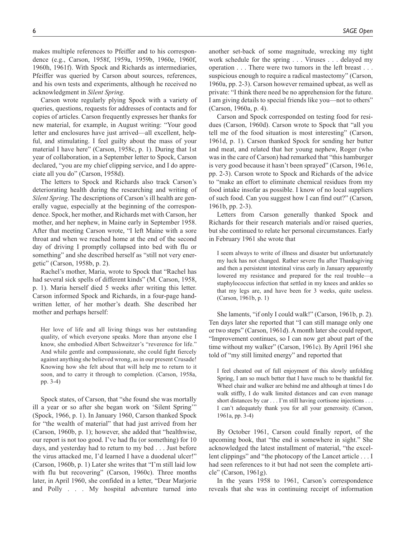makes multiple references to Pfeiffer and to his correspondence (e.g., Carson, 1958f, 1959a, 1959b, 1960e, 1960f, 1960h, 1961f). With Spock and Richards as intermediaries, Pfeiffer was queried by Carson about sources, references, and his own tests and experiments, although he received no acknowledgment in *Silent Spring*.

Carson wrote regularly plying Spock with a variety of queries, questions, requests for addresses of contacts and for copies of articles. Carson frequently expresses her thanks for new material, for example, in August writing: "Your good letter and enclosures have just arrived—all excellent, helpful, and stimulating. I feel guilty about the mass of your material I have here" (Carson, 1958c, p. 1). During that 1st year of collaboration, in a September letter to Spock, Carson declared, "you are my chief clipping service, and I do appreciate all you do" (Carson, 1958d).

The letters to Spock and Richards also track Carson's deteriorating health during the researching and writing of *Silent Spring*. The descriptions of Carson's ill health are generally vague, especially at the beginning of the correspondence. Spock, her mother, and Richards met with Carson, her mother, and her nephew, in Maine early in September 1958. After that meeting Carson wrote, "I left Maine with a sore throat and when we reached home at the end of the second day of driving I promptly collapsed into bed with flu or something" and she described herself as "still not very energetic" (Carson, 1958b, p. 2).

Rachel's mother, Maria, wrote to Spock that "Rachel has had several sick spells of different kinds" (M. Carson, 1958, p. 1). Maria herself died 5 weeks after writing this letter. Carson informed Spock and Richards, in a four-page handwritten letter, of her mother's death. She described her mother and perhaps herself:

Her love of life and all living things was her outstanding quality, of which everyone speaks. More than anyone else I know, she embodied Albert Schweitzer's "reverence for life." And while gentle and compassionate, she could fight fiercely against anything she believed wrong, as in our present Crusade! Knowing how she felt about that will help me to return to it soon, and to carry it through to completion. (Carson, 1958a, pp. 3-4)

Spock states, of Carson, that "she found she was mortally ill a year or so after she began work on 'Silent Spring'" (Spock, 1966, p. 1). In January 1960, Carson thanked Spock for "the wealth of material" that had just arrived from her (Carson, 1960b, p. 1); however, she added that "healthwise, our report is not too good. I've had flu (or something) for 10 days, and yesterday had to return to my bed . . . Just before the virus attacked me, I'd learned I have a duodenal ulcer!" (Carson, 1960b, p. 1) Later she writes that "I'm still laid low with flu but recovering" (Carson, 1960c). Three months later, in April 1960, she confided in a letter, "Dear Marjorie and Polly . . . My hospital adventure turned into

another set-back of some magnitude, wrecking my tight work schedule for the spring . . . Viruses . . . delayed my operation . . . There were two tumors in the left breast . . . suspicious enough to require a radical mastectomy" (Carson, 1960a, pp. 2-3). Carson however remained upbeat, as well as private: "I think there need be no apprehension for the future. I am giving details to special friends like you—not to others" (Carson, 1960a, p. 4).

Carson and Spock corresponded on testing food for residues (Carson, 1960d). Carson wrote to Spock that "all you tell me of the food situation is most interesting" (Carson, 1961d, p. 1). Carson thanked Spock for sending her butter and meat, and related that her young nephew, Roger (who was in the care of Carson) had remarked that "this hamburger is very good because it hasn't been sprayed" (Carson, 1961e, pp. 2-3). Carson wrote to Spock and Richards of the advice to "make an effort to eliminate chemical residues from my food intake insofar as possible. I know of no local suppliers of such food. Can you suggest how I can find out?" (Carson, 1961b, pp. 2-3).

Letters from Carson generally thanked Spock and Richards for their research materials and/or raised queries, but she continued to relate her personal circumstances. Early in February 1961 she wrote that

I seem always to write of illness and disaster but unfortunately my luck has not changed. Rather severe flu after Thanksgiving and then a persistent intestinal virus early in January apparently lowered my resistance and prepared for the real trouble—a staphylococcus infection that settled in my knees and ankles so that my legs are, and have been for 3 weeks, quite useless. (Carson, 1961b, p. 1)

She laments, "if only I could walk!" (Carson, 1961b, p. 2). Ten days later she reported that "I can still manage only one or two steps" (Carson, 1961d). A month later she could report, "Improvement continues, so I can now get about part of the time without my walker" (Carson, 1961c). By April 1961 she told of "my still limited energy" and reported that

I feel cheated out of full enjoyment of this slowly unfolding Spring, I am so much better that I have much to be thankful for. Wheel chair and walker are behind me and although at times I do walk stiffly, I do walk limited distances and can even manage short distances by car . . . I'm still having cortisone injections . . . I can't adequately thank you for all your generosity. (Carson, 1961a, pp. 3-4)

By October 1961, Carson could finally report, of the upcoming book, that "the end is somewhere in sight." She acknowledged the latest installment of material, "the excellent clippings" and "the photocopy of the Lancet article . . . I had seen references to it but had not seen the complete article" (Carson, 1961g).

In the years 1958 to 1961, Carson's correspondence reveals that she was in continuing receipt of information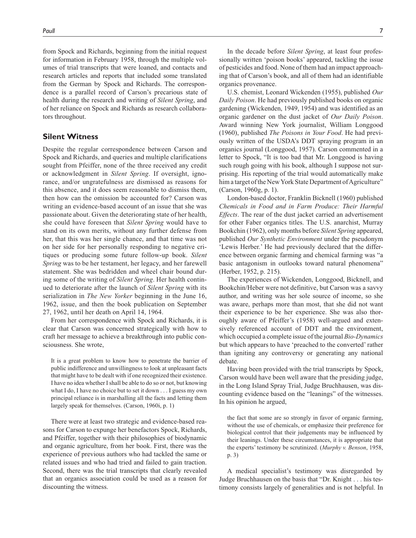from Spock and Richards, beginning from the initial request for information in February 1958, through the multiple volumes of trial transcripts that were loaned, and contacts and research articles and reports that included some translated from the German by Spock and Richards. The correspondence is a parallel record of Carson's precarious state of health during the research and writing of *Silent Spring*, and of her reliance on Spock and Richards as research collaborators throughout.

# **Silent Witness**

Despite the regular correspondence between Carson and Spock and Richards, and queries and multiple clarifications sought from Pfeiffer, none of the three received any credit or acknowledgment in *Silent Spring*. If oversight, ignorance, and/or ungratefulness are dismissed as reasons for this absence, and it does seem reasonable to dismiss them, then how can the omission be accounted for? Carson was writing an evidence-based account of an issue that she was passionate about. Given the deteriorating state of her health, she could have foreseen that *Silent Spring* would have to stand on its own merits, without any further defense from her, that this was her single chance, and that time was not on her side for her personally responding to negative critiques or producing some future follow-up book. *Silent Spring* was to be her testament, her legacy, and her farewell statement. She was bedridden and wheel chair bound during some of the writing of *Silent Spring*. Her health continued to deteriorate after the launch of *Silent Spring* with its serialization in *The New Yorker* beginning in the June 16, 1962, issue, and then the book publication on September 27, 1962, until her death on April 14, 1964.

From her correspondence with Spock and Richards, it is clear that Carson was concerned strategically with how to craft her message to achieve a breakthrough into public consciousness. She wrote,

It is a great problem to know how to penetrate the barrier of public indifference and unwillingness to look at unpleasant facts that might have to be dealt with if one recognized their existence. I have no idea whether I shall be able to do so or not, but knowing what I do, I have no choice but to set it down . . . I guess my own principal reliance is in marshalling all the facts and letting them largely speak for themselves. (Carson, 1960i, p. 1)

There were at least two strategic and evidence-based reasons for Carson to expunge her benefactors Spock, Richards, and Pfeiffer, together with their philosophies of biodynamic and organic agriculture, from her book. First, there was the experience of previous authors who had tackled the same or related issues and who had tried and failed to gain traction. Second, there was the trial transcripts that clearly revealed that an organics association could be used as a reason for discounting the witness.

In the decade before *Silent Spring*, at least four professionally written 'poison books' appeared, tackling the issue of pesticides and food. None of them had an impact approaching that of Carson's book, and all of them had an identifiable organics provenance.

U.S. chemist, Leonard Wickenden (1955), published *Our Daily Poison*. He had previously published books on organic gardening (Wickenden, 1949, 1954) and was identified as an organic gardener on the dust jacket of *Our Daily Poison*. Award winning New York journalist, William Longgood (1960), published *The Poisons in Your Food*. He had previously written of the USDA's DDT spraying program in an organics journal (Longgood, 1957). Carson commented in a letter to Spock, "It is too bad that Mr. Longgood is having such rough going with his book, although I suppose not surprising. His reporting of the trial would automatically make him a target of the New York State Department of Agriculture" (Carson, 1960g, p. 1).

London-based doctor, Franklin Bicknell (1960) published *Chemicals in Food and in Farm Produce: Their Harmful Effects*. The rear of the dust jacket carried an advertisement for other Faber organics titles. The U.S. anarchist, Murray Bookchin (1962), only months before *Silent Spring* appeared, published *Our Synthetic Environment* under the pseudonym 'Lewis Herber.' He had previously declared that the difference between organic farming and chemical farming was "a basic antagonism in outlooks toward natural phenomena" (Herber, 1952, p. 215).

The experiences of Wickenden, Longgood, Bicknell, and Bookchin/Heber were not definitive, but Carson was a savvy author, and writing was her sole source of income, so she was aware, perhaps more than most, that she did not want their experience to be her experience. She was also thoroughly aware of Pfeiffer's (1958) well-argued and extensively referenced account of DDT and the environment, which occupied a complete issue of the journal *Bio-Dynamics* but which appears to have 'preached to the converted' rather than igniting any controversy or generating any national debate.

Having been provided with the trial transcripts by Spock, Carson would have been well aware that the presiding judge, in the Long Island Spray Trial, Judge Bruchhausen, was discounting evidence based on the "leanings" of the witnesses. In his opinion he argued,

the fact that some are so strongly in favor of organic farming, without the use of chemicals, or emphasize their preference for biological control that their judgements may be influenced by their leanings. Under these circumstances, it is appropriate that the experts' testimony be scrutinized. (*Murphy v. Benson*, 1958, p. 3)

A medical specialist's testimony was disregarded by Judge Bruchhausen on the basis that "Dr. Knight . . . his testimony consists largely of generalities and is not helpful. In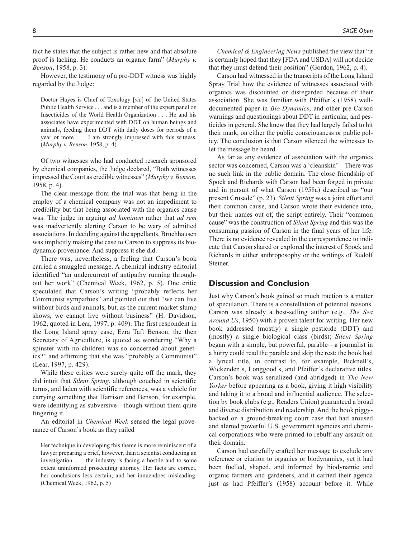fact he states that the subject is rather new and that absolute proof is lacking. He conducts an organic farm" (*Murphy v. Benson*, 1958, p. 3).

However, the testimony of a pro-DDT witness was highly regarded by the Judge:

Doctor Hayes is Chief of Toxology [*sic*] of the United States Public Health Service . . . and is a member of the expert panel on Insecticides of the World Health Organization . . . He and his associates have experimented with DDT on human beings and animals, feeding them DDT with daily doses for periods of a year or more . . . I am strongly impressed with this witness. (*Murphy v. Benson*, 1958, p. 4)

Of two witnesses who had conducted research sponsored by chemical companies, the Judge declared, "Both witnesses impressed the Court as credible witnesses" (*Murphy v. Benson*, 1958, p. 4).

The clear message from the trial was that being in the employ of a chemical company was not an impediment to credibility but that being associated with the organics cause was. The judge in arguing *ad hominem* rather that *ad rem* was inadvertently alerting Carson to be wary of admitted associations. In deciding against the appellants, Bruchhausen was implicitly making the case to Carson to suppress its biodynamic provenance. And suppress it she did.

There was, nevertheless, a feeling that Carson's book carried a smuggled message. A chemical industry editorial identified "an undercurrent of antipathy running throughout her work" (Chemical Week, 1962, p. 5). One critic speculated that Carson's writing "probably reflects her Communist sympathies" and pointed out that "we can live without birds and animals, but, as the current market slump shows, we cannot live without business" (H. Davidson, 1962, quoted in Lear, 1997, p. 409). The first respondent in the Long Island spray case, Ezra Taft Benson, the then Secretary of Agriculture, is quoted as wondering "Why a spinster with no children was so concerned about genetics?" and affirming that she was "probably a Communist" (Lear, 1997, p. 429).

While these critics were surely quite off the mark, they did intuit that *Silent Spring*, although couched in scientific terms, and laden with scientific references, was a vehicle for carrying something that Harrison and Benson, for example, were identifying as subversive—though without them quite fingering it.

An editorial in *Chemical Week* sensed the legal provenance of Carson's book as they railed

Her technique in developing this theme is more reminiscent of a lawyer preparing a brief, however, than a scientist conducting an investigation . . . the industry is facing a hostile and to some extent uninformed prosecuting attorney. Her facts are correct, her conclusions less certain, and her innuendoes misleading. (Chemical Week, 1962, p. 5)

*Chemical & Engineering News* published the view that "it is certainly hoped that they [FDA and USDA] will not decide that they must defend their position" (Gordon, 1962, p. 4).

Carson had witnessed in the transcripts of the Long Island Spray Trial how the evidence of witnesses associated with organics was discounted or disregarded because of their association. She was familiar with Pfeiffer's (1958) welldocumented paper in *Bio-Dynamics*, and other pre-Carson warnings and questionings about DDT in particular, and pesticides in general. She knew that they had largely failed to hit their mark, on either the public consciousness or public policy. The conclusion is that Carson silenced the witnesses to let the message be heard.

As far as any evidence of association with the organics sector was concerned, Carson was a 'cleanskin'—There was no such link in the public domain. The close friendship of Spock and Richards with Carson had been forged in private and in pursuit of what Carson (1958a) described as "our present Crusade" (p. 23). *Silent Spring* was a joint effort and their common cause, and Carson wrote their evidence into, but their names out of, the script entirely. Their "common cause" was the construction of *Silent Spring* and this was the consuming passion of Carson in the final years of her life. There is no evidence revealed in the correspondence to indicate that Carson shared or explored the interest of Spock and Richards in either anthroposophy or the writings of Rudolf Steiner.

## **Discussion and Conclusion**

Just why Carson's book gained so much traction is a matter of speculation. There is a constellation of potential reasons. Carson was already a best-selling author (e.g., *The Sea Around Us*, 1950) with a proven talent for writing. Her new book addressed (mostly) a single pesticide (DDT) and (mostly) a single biological class (birds); *Silent Spring* began with a simple, but powerful, parable—a journalist in a hurry could read the parable and skip the rest; the book had a lyrical title, in contrast to, for example, Bicknell's, Wickenden's, Longgood's, and Pfeiffer's declarative titles. Carson's book was serialized (and abridged) in *The New Yorker* before appearing as a book, giving it high visibility and taking it to a broad and influential audience. The selection by book clubs (e.g., Readers Union) guaranteed a broad and diverse distribution and readership. And the book piggybacked on a ground-breaking court case that had aroused and alerted powerful U.S. government agencies and chemical corporations who were primed to rebuff any assault on their domain.

Carson had carefully crafted her message to exclude any reference or citation to organics or biodynamics, yet it had been fuelled, shaped, and informed by biodynamic and organic farmers and gardeners, and it carried their agenda just as had Pfeiffer's (1958) account before it. While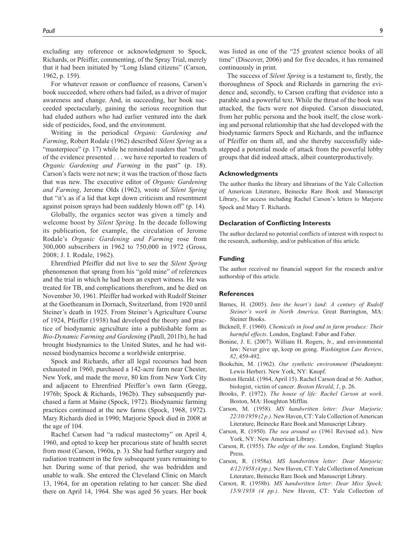1962, p. 159). For whatever reason or confluence of reasons, Carson's book succeeded, where others had failed, as a driver of major awareness and change. And, in succeeding, her book succeeded spectacularly, gaining the serious recognition that had eluded authors who had earlier ventured into the dark side of pesticides, food, and the environment.

Writing in the periodical *Organic Gardening and Farming*, Robert Rodale (1962) described *Silent Spring* as a "masterpiece" (p. 17) while he reminded readers that "much" of the evidence presented . . . we have reported to readers of *Organic Gardening and Farming* in the past" (p. 18). Carson's facts were not new; it was the traction of those facts that was new. The executive editor of *Organic Gardening and Farming*, Jerome Olds (1962), wrote of *Silent Spring* that "it's as if a lid that kept down criticism and resentment against poison sprays had been suddenly blown off" (p. 14).

Globally, the organics sector was given a timely and welcome boost by *Silent Spring*. In the decade following its publication, for example, the circulation of Jerome Rodale's *Organic Gardening and Farming* rose from 300,000 subscribers in 1962 to 750,000 in 1972 (Gross, 2008; J. I. Rodale, 1962).

Ehrenfried Pfeiffer did not live to see the *Silent Spring* phenomenon that sprang from his "gold mine" of references and the trial in which he had been an expert witness. He was treated for TB, and complications therefrom, and he died on November 30, 1961. Pfeiffer had worked with Rudolf Steiner at the Goetheanum in Dornach, Switzerland, from 1920 until Steiner's death in 1925. From Steiner's Agriculture Course of 1924, Pfeiffer (1938) had developed the theory and practice of biodynamic agriculture into a publishable form as *Bio-Dynamic Farming and Gardening* (Paull, 2011b), he had brought biodynamics to the United States, and he had witnessed biodynamics become a worldwide enterprise.

Spock and Richards, after all legal recourses had been exhausted in 1960, purchased a 142-acre farm near Chester, New York, and made the move, 80 km from New York City and adjacent to Ehrenfried Pfeiffer's own farm (Gregg, 1976b; Spock & Richards, 1962b). They subsequently purchased a farm at Maine (Spock, 1972). Biodynamic farming practices continued at the new farms (Spock, 1968, 1972). Mary Richards died in 1990; Marjorie Spock died in 2008 at the age of 104.

Rachel Carson had "a radical mastectomy" on April 4, 1960, and opted to keep her precarious state of health secret from most (Carson, 1960a, p. 3). She had further surgery and radiation treatment in the few subsequent years remaining to her. During some of that period, she was bedridden and unable to walk. She entered the Cleveland Clinic on March 13, 1964, for an operation relating to her cancer. She died there on April 14, 1964. She was aged 56 years. Her book was listed as one of the "25 greatest science books of all time" (Discover, 2006) and for five decades, it has remained continuously in print.

The success of *Silent Spring* is a testament to, firstly, the thoroughness of Spock and Richards in garnering the evidence and, secondly, to Carson crafting that evidence into a parable and a powerful text. While the thrust of the book was attacked, the facts were not disputed. Carson dissociated, from her public persona and the book itself, the close working and personal relationship that she had developed with the biodynamic farmers Spock and Richards, and the influence of Pfeiffer on them all, and she thereby successfully sidestepped a potential mode of attack from the powerful lobby groups that did indeed attack, albeit counterproductively.

### **Acknowledgments**

The author thanks the library and librarians of the Yale Collection of American Literature, Beinecke Rare Book and Manuscript Library, for access including Rachel Carson's letters to Marjorie Spock and Mary T. Richards.

### **Declaration of Conflicting Interests**

The author declared no potential conflicts of interest with respect to the research, authorship, and/or publication of this article.

#### **Funding**

The author received no financial support for the research and/or authorship of this article.

### **References**

- Barnes, H. (2005). *Into the heart's land: A century of Rudolf Steiner's work in North America*. Great Barrington, MA: Steiner Books.
- Bicknell, F. (1960). *Chemicals in food and in farm produce: Their harmful effects*. London, England: Faber and Faber.
- Bonine, J. E. (2007). William H. Rogers, Jr., and environmental law: Never give up, keep on going. *Washington Law Review*, *82*, 459-492.
- Bookchin, M. (1962). *Our synthetic environment* (Pseudonym: Lewis Herber). New York, NY: Knopf.
- Boston Herald. (1964, April 15). Rachel Carson dead at 56: Author, biologist, victim of cancer. *Boston Herald*, *1*, p. 26.
- Brooks, P. (1972). *The house of life: Rachel Carson at work*. Boston, MA: Houghton Mifflin.
- Carson, M. (1958). *MS handwritten letter: Dear Marjorie; 22/10/1959 (2 p.)*. New Haven, CT: Yale Collection of American Literature, Beinecke Rare Book and Manuscript Library.
- Carson, R. (1950). *The sea around us* (1961 Revised ed.). New York, NY: New American Library.
- Carson, R. (1955). *The edge of the sea*. London, England: Staples Press.
- Carson, R. (1958a). *MS handwritten letter: Dear Marjorie; 4/12/1958 (4 pp.)*. New Haven, CT: Yale Collection of American Literature, Beinecke Rare Book and Manuscript Library.
- Carson, R. (1958b). *MS handwritten letter: Dear Miss Spock; 15/9/1958 (4 pp.)*. New Haven, CT: Yale Collection of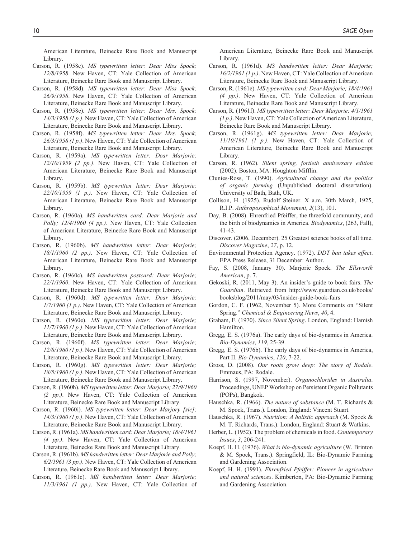American Literature, Beinecke Rare Book and Manuscript Library.

- Carson, R. (1958c). *MS typewritten letter: Dear Miss Spock; 12/8/1958*. New Haven, CT: Yale Collection of American Literature, Beinecke Rare Book and Manuscript Library.
- Carson, R. (1958d). *MS typewritten letter: Dear Miss Spock; 26/9/1958*. New Haven, CT: Yale Collection of American Literature, Beinecke Rare Book and Manuscript Library.
- Carson, R. (1958e). *MS typewritten letter: Dear Mrs. Spock; 14/3/1958 (1 p.)*. New Haven, CT: Yale Collection of American Literature, Beinecke Rare Book and Manuscript Library.
- Carson, R. (1958f). *MS typewritten letter: Dear Mrs. Spock; 26/3/1958 (1 p.)*. New Haven, CT: Yale Collection of American Literature, Beinecke Rare Book and Manuscript Library.
- Carson, R. (1959a). *MS typewritten letter: Dear Marjorie; 12/10/1959 (2 pp.)*. New Haven, CT: Yale Collection of American Literature, Beinecke Rare Book and Manuscript Library.
- Carson, R. (1959b). *MS typewritten letter: Dear Marjorie; 22/10/1959 (1 p.)*. New Haven, CT: Yale Collection of American Literature, Beinecke Rare Book and Manuscript Library.
- Carson, R. (1960a). *MS handwritten card: Dear Marjorie and Polly; 12/4/1960 (4 pp.)*. New Haven, CT: Yale Collection of American Literature, Beinecke Rare Book and Manuscript Library.
- Carson, R. (1960b). *MS handwritten letter: Dear Marjorie; 18/1/1960 (2 pp.)*. New Haven, CT: Yale Collection of American Literature, Beinecke Rare Book and Manuscript Library.
- Carson, R. (1960c). *MS handwritten postcard: Dear Marjorie; 22/1/1960*. New Haven, CT: Yale Collection of American Literature, Beinecke Rare Book and Manuscript Library.
- Carson, R. (1960d). *MS typewritten letter: Dear Marjorie; 1/7/1960 (1 p.)*. New Haven, CT: Yale Collection of American Literature, Beinecke Rare Book and Manuscript Library.
- Carson, R. (1960e). *MS typewritten letter: Dear Marjorie; 11/7/1960 (1 p.)*. New Haven, CT: Yale Collection of American Literature, Beinecke Rare Book and Manuscript Library.
- Carson, R. (1960f). *MS typewritten letter: Dear Marjorie; 12/8/1960 (1 p.)*. New Haven, CT: Yale Collection of American Literature, Beinecke Rare Book and Manuscript Library.
- Carson, R. (1960g). *MS typewritten letter: Dear Marjorie; 18/5/1960 (1 p.)*. New Haven, CT: Yale Collection of American Literature, Beinecke Rare Book and Manuscript Library.
- Carson, R. (1960h). *MS typewritten letter: Dear Marjorie; 27/9/1960 (2 pp.)*. New Haven, CT: Yale Collection of American Literature, Beinecke Rare Book and Manuscript Library.
- Carson, R. (1960i). *MS typewritten letter: Dear Marjory [sic]; 14/3/1960 (1 p.)*. New Haven, CT: Yale Collection of American Literature, Beinecke Rare Book and Manuscript Library.
- Carson, R. (1961a). *MS handwritten card: Dear Marjorie; 18/4/1961 (4 pp.)*. New Haven, CT: Yale Collection of American Literature, Beinecke Rare Book and Manuscript Library.
- Carson, R. (1961b). *MS handwritten letter: Dear Marjorie and Polly; 6/2/1961 (3 pp.)*. New Haven, CT: Yale Collection of American Literature, Beinecke Rare Book and Manuscript Library.
- Carson, R. (1961c). *MS handwritten letter: Dear Marjorie; 11/3/1961 (1 pp.)*. New Haven, CT: Yale Collection of

American Literature, Beinecke Rare Book and Manuscript Library.

- Carson, R. (1961d). *MS handwritten letter: Dear Marjorie; 16/2/1961 (1 p.)*. New Haven, CT: Yale Collection of American Literature, Beinecke Rare Book and Manuscript Library.
- Carson, R. (1961e). *MS typewritten card: Dear Marjorie; 18/4/1961 (4 pp.)*. New Haven, CT: Yale Collection of American Literature, Beinecke Rare Book and Manuscript Library.
- Carson, R. (1961f). *MS typewritten letter: Dear Marjorie; 4/1/1961 (1 p.)*. New Haven, CT: Yale Collection of American Literature, Beinecke Rare Book and Manuscript Library.
- Carson, R. (1961g). *MS typewritten letter: Dear Marjorie; 11/10/1961 (1 p.)*. New Haven, CT: Yale Collection of American Literature, Beinecke Rare Book and Manuscript Library.
- Carson, R. (1962). *Silent spring, fortieth anniversary edition* (2002). Boston, MA: Houghton Mifflin.
- Clunies-Ross, T. (1990). *Agricultural change and the politics of organic farming* (Unpublished doctoral dissertation). University of Bath, Bath, UK.
- Collison, H. (1925). Rudolf Steiner. X a.m. 30th March, 1925, R.I.P. *Anthroposophical Movement*, *2*(13), 101.
- Day, B. (2008). Ehrenfried Pfeiffer, the threefold community, and the birth of biodynamics in America. *Biodynamics*, (263, Fall), 41-43.
- Discover. (2006, December). 25 Greatest science books of all time. *Discover Magazine*, *27*, p. 12.
- Environmental Protection Agency. (1972). *DDT ban takes effect*. EPA Press Release, 31 December: Author.
- Fay, S. (2008, January 30). Marjorie Spock. *The Ellsworth American*, p. 7.
- Gekoski, R. (2011, May 3). An insider's guide to book fairs. *The Guardian*. Retrieved from http://www.guardian.co.uk/books/ booksblog/2011/may/03/insider-guide-book-fairs
- Gordon, C. F. (1962, November 5). More Comments on "Silent Spring." *Chemical & Engineering News*, *40*, 4.
- Graham, F. (1970). *Since Silent Spring*. London, England: Hamish Hamilton.
- Gregg, E. S. (1976a). The early days of bio-dynamics in America. *Bio-Dynamics*, *119*, 25-39.
- Gregg, E. S. (1976b). The early days of bio-dynamics in America, Part II. *Bio-Dynamics*, *120*, 7-22.
- Gross, D. (2008). *Our roots grow deep: The story of Rodale*. Emmaus, PA: Rodale.
- Harrison, S. (1997, November). *Organochlorides in Australia*. Proceedings, UNEP Workshop on Persistent Organic Pollutants (POPs), Bangkok.
- Hauschka, R. (1966). *The nature of substance* (M. T. Richards & M. Spock, Trans.). London, England: Vincent Stuart.
- Hauschka, R. (1967). *Nutrition: A holistic approach* (M. Spock & M. T. Richards, Trans.). London, England: Stuart & Watkins.
- Herber, L. (1952). The problem of chemicals in food. *Contemporary Issues*, *3*, 206-241.
- Koepf, H. H. (1976). *What is bio-dynamic agriculture* (W. Brinton & M. Spock, Trans.). Springfield, IL: Bio-Dynamic Farming and Gardening Association.
- Koepf, H. H. (1991). *Ehrenfried Pfeiffer: Pioneer in agriculture and natural sciences*. Kimberton, PA: Bio-Dynamic Farming and Gardening Association.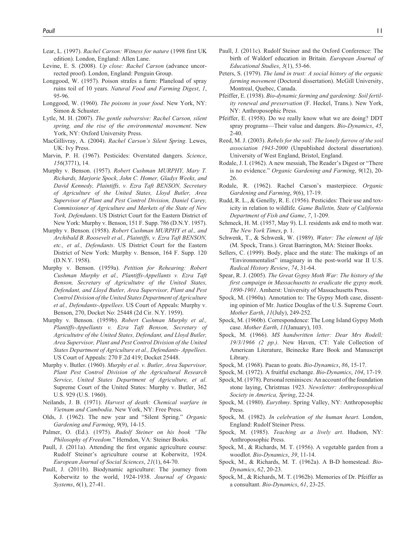- Lear, L. (1997). *Rachel Carson: Witness for nature* (1998 first UK edition). London, England: Allen Lane.
- Levine, E. S. (2008). *Up close: Rachel Carson* (advance uncorrected proof). London, England: Penguin Group.
- Longgood, W. (1957). Poison strafes a farm: Planeload of spray ruins toil of 10 years. *Natural Food and Farming Digest*, *1*, 95-96.
- Longgood, W. (1960). *The poisons in your food*. New York, NY: Simon & Schuster.
- Lytle, M. H. (2007). *The gentle subversive: Rachel Carson, silent spring, and the rise of the environmental movement*. New York, NY: Oxford University Press.
- MacGillivray, A. (2004). *Rachel Carson's Silent Spring*. Lewes, UK: Ivy Press.
- Marvin, P. H. (1967). Pesticides: Overstated dangers. *Science*, *156*(3771), 14.
- Murphy v. Benson. (1957). *Robert Cushman MURPHY, Mary T. Richards, Marjorie Spock, John C. Homer, Gladys Weeks, and David Kennedy, Plaintiffs, v. Ezra Taft BENSON, Secretary of Agriculture of the United States, Lloyd Butler, Area Supervisor of Plant and Pest Control Division, Daniel Carey, Commissioner of Agriculture and Markets of the State of New York, Defendants*. US District Court for the Eastern District of New York: Murphy v. Benson, 151 F. Supp. 786 (D.N.Y. 1957).
- Murphy v. Benson. (1958). *Robert Cushman MURPHY et al., and Archibald B. Roosevelt et al., Plaintiffs, v. Ezra Taft BENSON, etc., et al., Defendants*. US District Court for the Eastern District of New York: Murphy v. Benson, 164 F. Supp. 120 (D.N.Y. 1958).
- Murphy v. Benson. (1959a). *Petition for Rehearing: Robert Cushman Murphy et al., Plantiffs-Appellants v. Ezra Taft Benson, Secretary of Agricultutre of the United States, Defendant, and Lloyd Butler, Area Supervisor, Plant and Pest Control Division of the United States Department of Agriculture et al., Defendants-Appellees*. US Court of Appeals: Murphy v. Benson, 270, Docket No: 25448 (2d Cir. N.Y. 1959).
- Murphy v. Benson. (1959b). *Robert Cushman Murphy et al., Plantiffs-Appellants v. Ezra Taft Benson, Secretary of Agricultutre of the United States, Defendant, and Lloyd Butler, Area Supervisor, Plant and Pest Control Division of the United States Department of Agriculture et al., Defendants- Appellees*. US Court of Appeals: 270 F.2d 419; Docket 25448.
- Murphy v. Butler. (1960). *Murphy et al. v. Butler, Area Supervisor, Plant Pest Control Division of the Agricultural Research Service, United States Department of Agriculture, et al*. Supreme Court of the United States: Murphy v. Butler, 362 U.S. 929 (U.S. 1960).
- Neilands, J. B. (1971). *Harvest of death: Chemical warfare in Vietnam and Cambodia*. New York, NY: Free Press.
- Olds, J. (1962). The new year and "Silent Spring." *Organic Gardening and Farming*, *9*(9), 14-15.
- Palmer, O. (Ed.). (1975). *Rudolf Steiner on his book "The Philosophy of Freedom*." Herndon, VA: Steiner Books.
- Paull, J. (2011a). Attending the first organic agriculture course: Rudolf Steiner's agriculture course at Koberwitz, 1924. *European Journal of Social Sciences*, *21*(1), 64-70.
- Paull, J. (2011b). Biodynamic agriculture: The journey from Koberwitz to the world, 1924-1938. *Journal of Organic Systems*, *6*(1), 27-41.
- Paull, J. (2011c). Rudolf Steiner and the Oxford Conference: The birth of Waldorf education in Britain. *European Journal of Educational Studies*, *3*(1), 53-66.
- Peters, S. (1979). *The land in trust: A social history of the organic farming movement* (Doctoral dissertation). McGill University, Montreal, Quebec, Canada.
- Pfeiffer, E. (1938). *Bio-dynamic farming and gardening: Soil fertility renewal and preservation* (F. Heckel, Trans.). New York, NY: Anthroposophic Press.
- Pfeiffer, E. (1958). Do we really know what we are doing? DDT spray programs—Their value and dangers. *Bio-Dynamics*, *45*,  $2 - 40.$
- Reed, M. J. (2003). *Rebels for the soil: The lonely furrow of the soil association 1943-2000* (Unpublished doctoral dissertation). University of West England, Bristol, England.
- Rodale, J. I. (1962). A new messiah, The Reader's Digest or "There is no evidence." *Organic Gardening and Farming*, *9*(12), 20- 26.
- Rodale, R. (1962). Rachel Carson's masterpiece. *Organic Gardening and Farming*, *9*(6), 17-19.
- Rudd, R. L., & Genelly, R. E. (1956). Pesticides: Their use and toxicity in relation to wildlife. *Game Bulletin, State of California Department of Fish and Game*, *7*, 1-209.
- Schmeck, H. M. (1957, May 9). L.I. residents ask end to moth war. *The New York Times*, p. 1.
- Schwenk, T., & Schwenk, W. (1989). *Water: The element of life* (M. Spock, Trans.). Great Barrington, MA: Steiner Books.
- Sellers, C. (1999). Body, place and the state: The makings of an "Environmentalist" imaginary in the post-world war II U.S. *Radical History Review*, *74*, 31-64.
- Spear, R. J. (2005). *The Great Gypsy Moth War: The history of the first campaign in Massachusetts to eradicate the gypsy moth, 1890-1901*. Amherst: University of Massachusetts Press.
- Spock, M. (1960a). Annotation to: The Gypsy Moth case, dissenting opinion of Mr. Justice Douglas of the U.S. Supreme Court. *Mother Earth*, *11*(July), 249-252.
- Spock, M. (1960b). Correspondence: The Long Island Gypsy Moth case. *Mother Earth*, *11*(January), 103.
- Spock, M. (1966). *MS handwritten letter: Dear Mrs Rodell; 19/3/1966 (2 pp.)*. New Haven, CT: Yale Collection of American Literature, Beinecke Rare Book and Manuscript Library.
- Spock, M. (1968). Paean to goats. *Bio-Dynamics*, *86*, 15-17.
- Spock, M. (1972). A fruitful exchange. *Bio-Dynamics*, *104*, 17-19.
- Spock, M. (1978). Personal reminisces: An account of the foundation stone laying, Christmas 1923. *Newsletter: Anthroposophical Society in America, Spring*, 22-24.
- Spock, M. (1980). *Eurythmy*. Spring Valley, NY: Anthroposophic Press.
- Spock, M. (1982). *In celebration of the human heart*. London, England: Rudolf Steiner Press.
- Spock, M. (1985). *Teaching as a lively art*. Hudson, NY: Anthroposophic Press.
- Spock, M., & Richards, M. T. (1956). A vegetable garden from a woodlot. *Bio-Dynamics*, *39*, 11-14.
- Spock, M., & Richards, M. T. (1962a). A B-D homestead. *Bio-Dynamics*, *62*, 20-23.
- Spock, M., & Richards, M. T. (1962b). Memories of Dr. Pfeiffer as a consultant. *Bio-Dynamics*, *61*, 23-25.